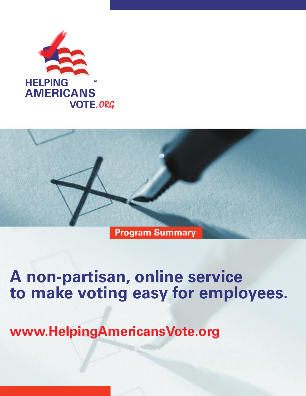



**www.HelpingAmericansVote.org**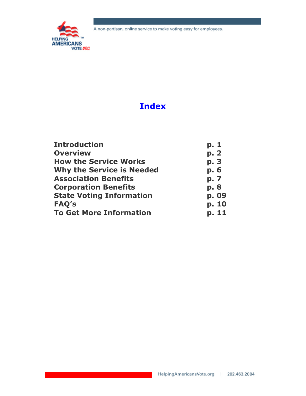

# **Index**

| <b>Introduction</b>              | p. 1  |
|----------------------------------|-------|
| <b>Overview</b>                  | p. 2  |
| <b>How the Service Works</b>     | p. 3  |
| <b>Why the Service is Needed</b> | p. 6  |
| <b>Association Benefits</b>      | p. 7  |
| <b>Corporation Benefits</b>      | p. 8  |
| <b>State Voting Information</b>  | p. 09 |
| FAQ's                            | p. 10 |
| <b>To Get More Information</b>   | p. 11 |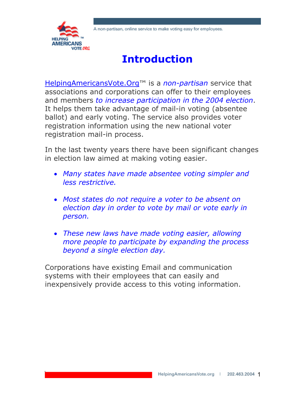

# **Introduction**

HelpingAmericansVote.Org™ is a *non-partisan* service that associations and corporations can offer to their employees and members *to increase participation in the 2004 election*. It helps them take advantage of mail-in voting (absentee ballot) and early voting. The service also provides voter registration information using the new national voter registration mail-in process.

In the last twenty years there have been significant changes in election law aimed at making voting easier.

- *Many states have made absentee voting simpler and less restrictive.*
- *Most states do not require a voter to be absent on election day in order to vote by mail or vote early in person.*
- *These new laws have made voting easier, allowing more people to participate by expanding the process beyond a single election day.*

Corporations have existing Email and communication systems with their employees that can easily and inexpensively provide access to this voting information.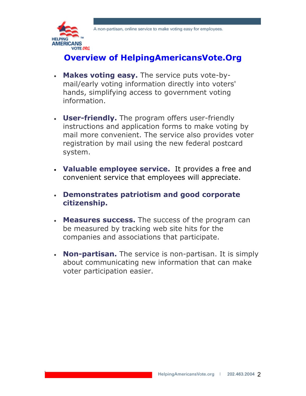

### **Overview of HelpingAmericansVote.Org**

- **Makes voting easy.** The service puts vote-bymail/early voting information directly into voters' hands, simplifying access to government voting information.
- **User-friendly.** The program offers user-friendly instructions and application forms to make voting by mail more convenient. The service also provides voter registration by mail using the new federal postcard system.
- **Valuable employee service.** It provides a free and convenient service that employees will appreciate.
- **Demonstrates patriotism and good corporate citizenship.**
- **Measures success.** The success of the program can be measured by tracking web site hits for the companies and associations that participate.
- **Non-partisan.** The service is non-partisan. It is simply about communicating new information that can make voter participation easier.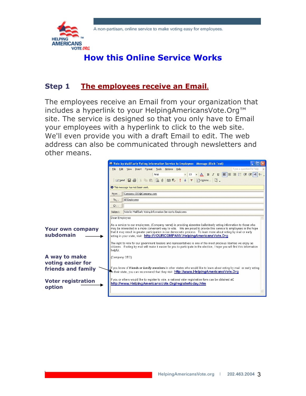

## **How this Online Service Works**

#### **Step 1 The employees receive an Email.**

The employees receive an Email from your organization that includes a hyperlink to your HelpingAmericansVote.Org™ site. The service is designed so that you only have to Email your employees with a hyperlink to click to the web site. We'll even provide you with a draft Email to edit. The web address can also be communicated through newsletters and other means.

|                                      | ■ Vote by Mail/Early Voting Information Service to Employees - Message (Rich Text)                                                                                                                                                                                                                                                                                                                                                       |  |  |  |
|--------------------------------------|------------------------------------------------------------------------------------------------------------------------------------------------------------------------------------------------------------------------------------------------------------------------------------------------------------------------------------------------------------------------------------------------------------------------------------------|--|--|--|
|                                      | Type a question for help<br>Insert Format Tools Actions Help<br>File<br>Edit View                                                                                                                                                                                                                                                                                                                                                        |  |  |  |
|                                      | $\bullet$ 10 $\bullet$ $\mathbf{A}$ $\mathbf{B}$ $I$ $\mathbf{U}$ $\mathbf{F}$ $\mathbf{F}$ $\mathbf{F}$ $\mathbf{F}$ $\mathbf{F}$ $\mathbf{F}$ $\mathbf{F}$ $\mathbf{H}$ $\mathbf{W}$<br>Arial                                                                                                                                                                                                                                          |  |  |  |
|                                      | Esend 日今 & 『BB BU BB & !! + Y Boptions 2.                                                                                                                                                                                                                                                                                                                                                                                                |  |  |  |
|                                      | <b>O</b> This message has not been sent.                                                                                                                                                                                                                                                                                                                                                                                                 |  |  |  |
|                                      | Company.CEO@Company.com<br>From                                                                                                                                                                                                                                                                                                                                                                                                          |  |  |  |
|                                      | All Employees<br>To                                                                                                                                                                                                                                                                                                                                                                                                                      |  |  |  |
|                                      | Cc                                                                                                                                                                                                                                                                                                                                                                                                                                       |  |  |  |
|                                      | Vote by Mail/Early Voting Information Service to Employees<br>Subject:                                                                                                                                                                                                                                                                                                                                                                   |  |  |  |
|                                      | Dear Employee:                                                                                                                                                                                                                                                                                                                                                                                                                           |  |  |  |
| <b>Your own company</b><br>subdomain | As a service to our employees, (Company name) is providing absentee ballot/early voting information to those who<br>may be interested in a more convenient way to vote.  We are proud to provide this service to employees in the hope<br>that it may result in greater participation in our democratic process. To learn more about voting by mail or early<br>voting in your state, visit: http://YOURCOMPANY.HelpingAmericansVote.Org |  |  |  |
|                                      | The right to vote for our government leaders and representatives is one of the most precious liberties we enjoy as<br>citizens. If voting by mail will make it easier for you to participate in the election, I hope you will find this information<br>helpful.                                                                                                                                                                          |  |  |  |
| A way to make<br>voting easier for   | (Company CEO)                                                                                                                                                                                                                                                                                                                                                                                                                            |  |  |  |
| friends and family                   | lf you know of <b>friends or family members</b> in other states who would like to learn about voting by mail or early voting<br>The their state, you can recommend that they visit: http://www.HelpingAmericansVote.Org                                                                                                                                                                                                                  |  |  |  |
| <b>Voter registration</b><br>option  | If you or others would like to register to vote, a national voter registration form can be obtained at:<br>http://www.HelpingAmericansVote.Org/registertoday.htm                                                                                                                                                                                                                                                                         |  |  |  |
|                                      |                                                                                                                                                                                                                                                                                                                                                                                                                                          |  |  |  |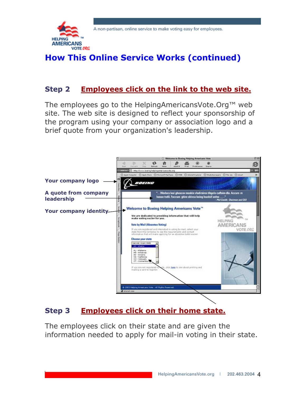

# **How This Online Service Works (continued)**

#### **Step 2 Employees click on the link to the web site.**

The employees go to the HelpingAmericansVote.Org™ web site. The web site is designed to reflect your sponsorship of the program using your company or association logo and a brief quote from your organization's leadership.



#### **Step 3 Employees click on their home state.**

The employees click on their state and are given the information needed to apply for mail-in voting in their state.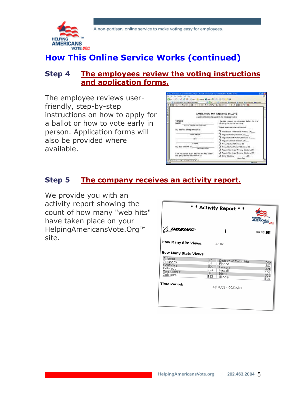

### **How This Online Service Works (continued)**

#### **Step 4 The employees review the voting instructions and application forms.**

The employee reviews userfriendly, step-by-step instructions on how to apply for a ballot or how to vote early in person. Application forms will also be provided where available.

| 目击电引起中心再启动检测 (同中下列) 中央 (内包可能) 经 (中) 一 米 四四四四四四四                               |                                                                                    |
|-------------------------------------------------------------------------------|------------------------------------------------------------------------------------|
|                                                                               | APPLICATION FOR ABSENTEE BALLOTS                                                   |
|                                                                               | INSTRUCTIONS TO VOTER ON REVERSE SIDE.                                             |
| <b>WOTER'S</b><br>NAME<br>Print or Type Nervy of Registered                   | hereby request an absentee ballot for the<br>following electron or elections.      |
|                                                                               | Check appropriate bein or boxes)                                                   |
| My address of registration is:                                                | Presidential Pollarential Primary, 20.                                             |
| <b>Chrome on Business</b>                                                     | <sup>S</sup> egular Primary Dection, 20.                                           |
| <b>Stage</b>                                                                  | Regular Runalif Primary Election, 20<br><sup>20</sup> Regular General Bertion, 201 |
| <b>Carry</b>                                                                  | LI Annual School Election, 20                                                      |
| My days of birth is:<br>Monito Electrica's                                    | Annual School Rune # Election, 20<br>Regalar Municipal Frimary Election, 20        |
| am registered at an address located within<br>the geographical boundaries of: | Regular Municipal Goveral Election, 20<br>D Other Election.<br>20                  |

#### **Step 5 The company receives an activity report.**

We provide you with an activity report showing the count of how many "web hits" have taken place on your HelpingAmericansVote.Org™ site.

|                                                                          |                                      | * * Activity Report * *                                                   | <b>HELPING</b><br><b>AMERICANS</b><br><b>VOTE ORG</b> |
|--------------------------------------------------------------------------|--------------------------------------|---------------------------------------------------------------------------|-------------------------------------------------------|
| BOEING                                                                   |                                      |                                                                           | 09:05 08                                              |
| <b>How Many Site Views:</b>                                              |                                      | 3,107                                                                     |                                                       |
| <b>How Many State Views:</b>                                             |                                      |                                                                           |                                                       |
| Arizona<br>Arkansas<br>California<br>Colorado<br>Connecticut<br>Delaware | 72<br>14<br>597<br>124<br>321<br>123 | District of Columbia<br>Florida<br>Georgia<br>Hawaii<br>Idaho<br>Illinois | 300<br>857<br>321<br>158<br>321<br>578                |
| Time Period:                                                             |                                      | 09/04/03 - 09/05/03                                                       |                                                       |
|                                                                          |                                      |                                                                           |                                                       |
|                                                                          |                                      |                                                                           |                                                       |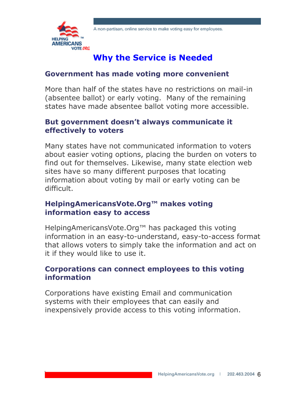

## **Why the Service is Needed**

#### **Government has made voting more convenient**

More than half of the states have no restrictions on mail-in (absentee ballot) or early voting. Many of the remaining states have made absentee ballot voting more accessible.

#### **But government doesn't always communicate it effectively to voters**

Many states have not communicated information to voters about easier voting options, placing the burden on voters to find out for themselves. Likewise, many state election web sites have so many different purposes that locating information about voting by mail or early voting can be difficult.

#### **HelpingAmericansVote.Org™ makes voting information easy to access**

HelpingAmericansVote.Org™ has packaged this voting information in an easy-to-understand, easy-to-access format that allows voters to simply take the information and act on it if they would like to use it.

#### **Corporations can connect employees to this voting information**

Corporations have existing Email and communication systems with their employees that can easily and inexpensively provide access to this voting information.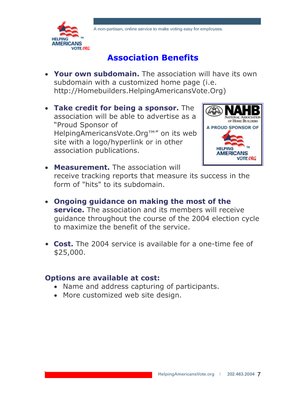

### **Association Benefits**

- **Your own subdomain.** The association will have its own subdomain with a customized home page (i.e. http://Homebuilders.HelpingAmericansVote.Org)
- **Take credit for being a sponsor.** The association will be able to advertise as a "Proud Sponsor of HelpingAmericansVote.Org™" on its web site with a logo/hyperlink or in other association publications.



- **Measurement.** The association will receive tracking reports that measure its success in the form of "hits" to its subdomain.
- **Ongoing guidance on making the most of the service.** The association and its members will receive guidance throughout the course of the 2004 election cycle to maximize the benefit of the service.
- **Cost.** The 2004 service is available for a one-time fee of \$25,000.

#### **Options are available at cost:**

- Name and address capturing of participants.
- More customized web site design.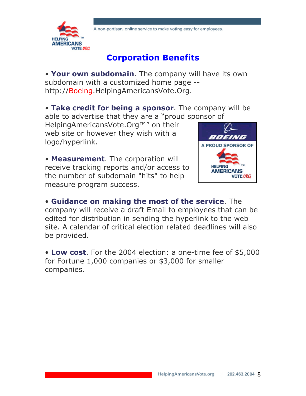

### **Corporation Benefits**

• **Your own subdomain**. The company will have its own subdomain with a customized home page - http://Boeing.HelpingAmericansVote.Org.

• **Take credit for being a sponsor**. The company will be able to advertise that they are a "proud sponsor of

HelpingAmericansVote.Org™" on their web site or however they wish with a logo/hyperlink.

• **Measurement**. The corporation will receive tracking reports and/or access to the number of subdomain "hits" to help measure program success.



• **Guidance on making the most of the service**. The company will receive a draft Email to employees that can be edited for distribution in sending the hyperlink to the web site. A calendar of critical election related deadlines will also be provided.

• **Low cost**. For the 2004 election: a one-time fee of \$5,000 for Fortune 1,000 companies or \$3,000 for smaller companies.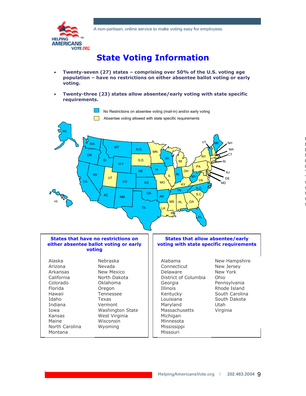

# **State Voting Information**

- **Twenty-seven (27) states comprising over 50% of the U.S. voting age population – have no restrictions on either absentee ballot voting or early voting.**
- **Twenty-three (23) states allow absentee/early voting with state specific requirements.**

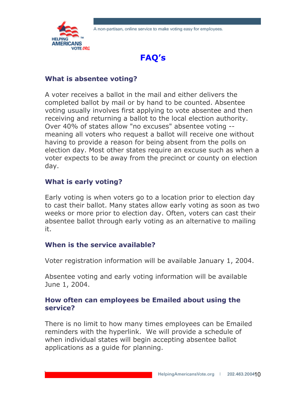



#### **What is absentee voting?**

A voter receives a ballot in the mail and either delivers the completed ballot by mail or by hand to be counted. Absentee voting usually involves first applying to vote absentee and then receiving and returning a ballot to the local election authority. Over 40% of states allow "no excuses" absentee voting - meaning all voters who request a ballot will receive one without having to provide a reason for being absent from the polls on election day. Most other states require an excuse such as when a voter expects to be away from the precinct or county on election day.

#### **What is early voting?**

Early voting is when voters go to a location prior to election day to cast their ballot. Many states allow early voting as soon as two weeks or more prior to election day. Often, voters can cast their absentee ballot through early voting as an alternative to mailing it.

#### **When is the service available?**

Voter registration information will be available January 1, 2004.

Absentee voting and early voting information will be available June 1, 2004.

#### **How often can employees be Emailed about using the service?**

There is no limit to how many times employees can be Emailed reminders with the hyperlink. We will provide a schedule of when individual states will begin accepting absentee ballot applications as a guide for planning.